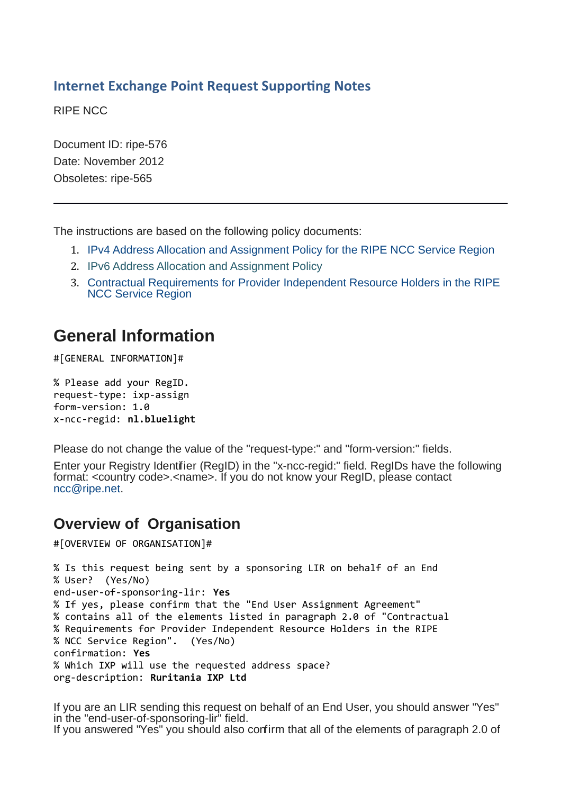#### **Internet Exchange Point Request Supporting Notes**

RIPE NCC

Document ID: ripe-576 Date: November 2012 Obsoletes: ripe-565

The instructions are based on the following policy documents:

- 1. [IPv4 Address Allocation and Assignment Policy for the RIPE NCC Service Region](http://www.ripe.net/ripe/docs/ipv4-policies.html)
- 2. [IPv6 Address Allocation and Assignment Policy](http://www.ripe.net/ripe/docs/ipv6-policies)
- 3. [Contractual Requirements for Provider Independent Resource Holders in the RIPE](http://www.ripe.net/ripe/docs/contract-req) [NCC Service Region](http://www.ripe.net/ripe/docs/contract-req)

# **General Information**

#[GENERAL INFORMATION]#

% Please add your RegID. request-type: ixp-assign form-version: 1.0 x-ncc-regid: **nl.bluelight**

Please do not change the value of the "request-type:" and "form-version:" fields.

Enter your Registry Identifier (RegID) in the "x-ncc-regid:" field. RegIDs have the following format: <country code>.<name>. If you do not know your RegID, please contact [ncc@ripe.net.](mailto:ncc@ripe.net)

## **Overview of Organisation**

#[OVERVIEW OF ORGANISATION]#

```
% Is this request being sent by a sponsoring LIR on behalf of an End
% User? (Yes/No)
end-user-of-sponsoring-lir: Yes
% If yes, please confirm that the "End User Assignment Agreement"
% contains all of the elements listed in paragraph 2.0 of "Contractual
% Requirements for Provider Independent Resource Holders in the RIPE
% NCC Service Region". (Yes/No)
confirmation: Yes
% Which IXP will use the requested address space?
org-description: Ruritania IXP Ltd
```
If you are an LIR sending this request on behalf of an End User, you should answer "Yes" in the "end-user-of-sponsoring-lir" field. If you answered "Yes" you should also confirm that all of the elements of paragraph 2.0 of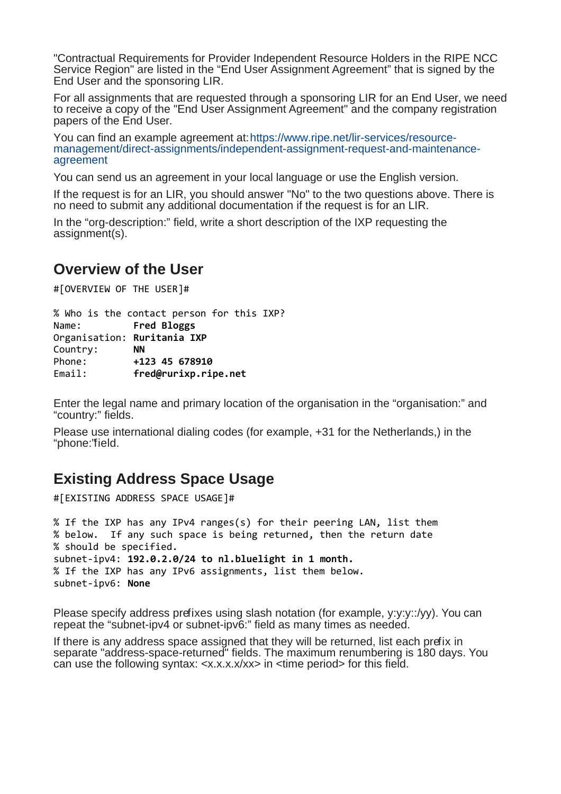"Contractual Requirements for Provider Independent Resource Holders in the RIPE NCC Service Region" are listed in the "End User Assignment Agreement" that is signed by the End User and the sponsoring LIR.

For all assignments that are requested through a sponsoring LIR for an End User, we need to receive a copy of the "End User Assignment Agreement" and the company registration papers of the End User.

You can find an example agreement at[:https://www.ripe.net/lir-services/resource](http://www.ripe.net/ripe/docs/resolveuid/391df1203f5f7d0cf5f62b4d65424e23)[management/direct-assignments/independent-assignment-request-and-maintenance](http://www.ripe.net/ripe/docs/resolveuid/391df1203f5f7d0cf5f62b4d65424e23)[agreement](http://www.ripe.net/ripe/docs/resolveuid/391df1203f5f7d0cf5f62b4d65424e23)

You can send us an agreement in your local language or use the English version.

If the request is for an LIR, you should answer "No" to the two questions above. There is no need to submit any additional documentation if the request is for an LIR.

In the "org-description:" field, write a short description of the IXP requesting the assignment(s).

#### **Overview of the User**

#[OVERVIEW OF THE USER]#

% Who is the contact person for this IXP? Name: **Fred Bloggs** Organisation: **Ruritania IXP** Country: **NN** Phone: **+123 45 678910** Email: **fred@rurixp.ripe.net**

Enter the legal name and primary location of the organisation in the "organisation:" and "country:" fields.

Please use international dialing codes (for example, +31 for the Netherlands,) in the "phone:"field.

### **Existing Address Space Usage**

#[EXISTING ADDRESS SPACE USAGE]#

```
% If the IXP has any IPv4 ranges(s) for their peering LAN, list them
% below. If any such space is being returned, then the return date
% should be specified.
subnet-ipv4: 192.0.2.0/24 to nl.bluelight in 1 month.
% If the IXP has any IPv6 assignments, list them below.
subnet-ipv6: None
```
Please specify address prefixes using slash notation (for example, y:y:y::/yy). You can repeat the "subnet-ipv4 or subnet-ipv6:" field as many times as needed.

If there is any address space assigned that they will be returned, list each prefix in separate "address-space-returned" fields. The maximum renumbering is 180 days. You can use the following syntax: <x.x.x.x/xx> in <time period> for this field.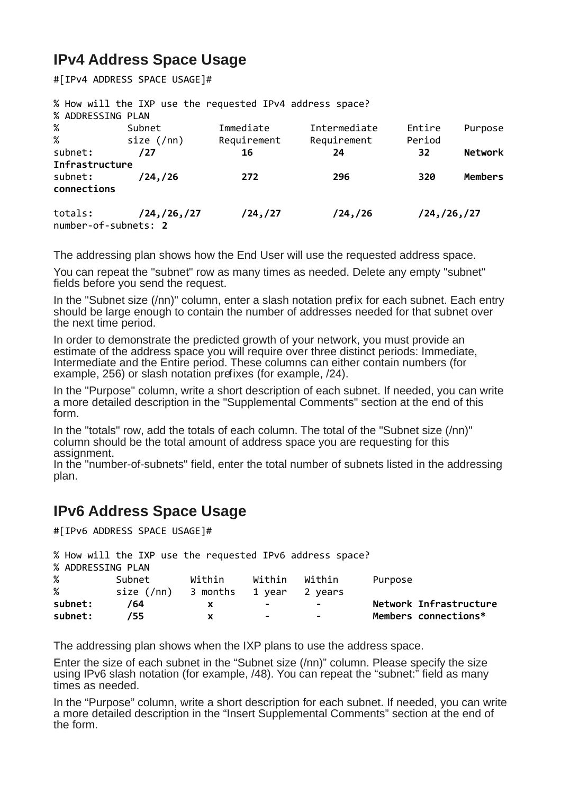## **IPv4 Address Space Usage**

#[IPv4 ADDRESS SPACE USAGE]#

|                      | % How will the IXP use the requested IPv4 address space? |             |              |               |                |
|----------------------|----------------------------------------------------------|-------------|--------------|---------------|----------------|
| % ADDRESSING PLAN    |                                                          |             |              |               |                |
| %                    | Subnet                                                   | Immediate   | Intermediate | Entire        | Purpose        |
| %                    | size $(7nn)$                                             | Requirement | Requirement  | Period        |                |
| subnet:              | /27                                                      | 16          | 24           | 32            | <b>Network</b> |
| Infrastructure       |                                                          |             |              |               |                |
| subnet:              | /24,/26                                                  | 272         | 296          | 320           | <b>Members</b> |
| connections          |                                                          |             |              |               |                |
| totals:              | /24, /26, /27                                            | /24, /27    | /24, /26     | /24, /26, /27 |                |
| number-of-subnets: 2 |                                                          |             |              |               |                |

The addressing plan shows how the End User will use the requested address space.

You can repeat the "subnet" row as many times as needed. Delete any empty "subnet" fields before you send the request.

In the "Subnet size (/nn)" column, enter a slash notation prefix for each subnet. Each entry should be large enough to contain the number of addresses needed for that subnet over the next time period.

In order to demonstrate the predicted growth of your network, you must provide an estimate of the address space you will require over three distinct periods: Immediate, Intermediate and the Entire period. These columns can either contain numbers (for example, 256) or slash notation prefixes (for example,  $/24$ ).

In the "Purpose" column, write a short description of each subnet. If needed, you can write a more detailed description in the "Supplemental Comments" section at the end of this form.

In the "totals" row, add the totals of each column. The total of the "Subnet size (/nn)" column should be the total amount of address space you are requesting for this assignment.

In the "number-of-subnets" field, enter the total number of subnets listed in the addressing plan.

## **IPv6 Address Space Usage**

#[IPv6 ADDRESS SPACE USAGE]#

|                   | % How will the IXP use the requested IPv6 address space? |        |        |         |                        |
|-------------------|----------------------------------------------------------|--------|--------|---------|------------------------|
| % ADDRESSING PLAN |                                                          |        |        |         |                        |
| %                 | Subnet                                                   | Within | Within | Within  | Purpose                |
| %                 | size $(7nn)$ 3 months                                    |        | 1 year | 2 years |                        |
| subnet:           | /64                                                      |        | ۰      |         | Network Infrastructure |
| subnet:           | 755                                                      |        | ۰      | н.      | Members connections*   |

The addressing plan shows when the IXP plans to use the address space.

Enter the size of each subnet in the "Subnet size (/nn)" column. Please specify the size using IPv6 slash notation (for example, /48). You can repeat the "subnet:" field as many times as needed.

In the "Purpose" column, write a short description for each subnet. If needed, you can write a more detailed description in the "Insert Supplemental Comments" section at the end of the form.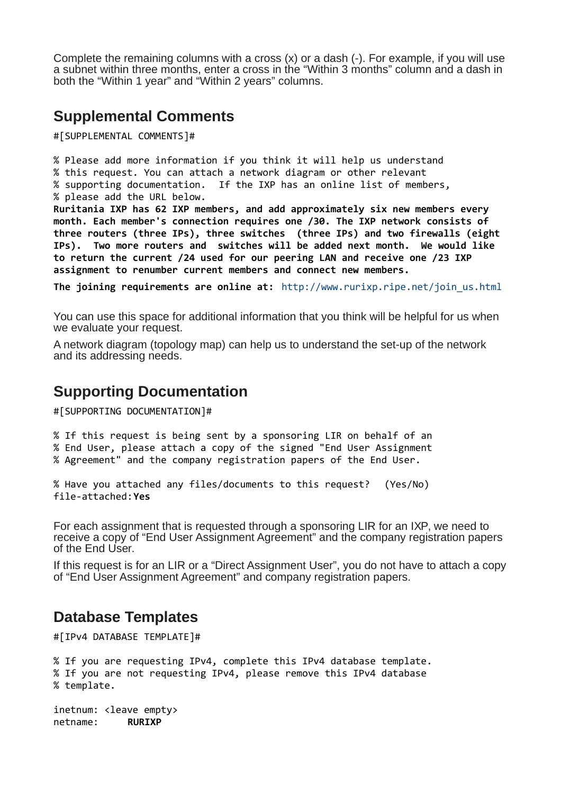Complete the remaining columns with a cross (x) or a dash (-). For example, if you will use a subnet within three months, enter a cross in the "Within 3 months" column and a dash in both the "Within 1 year" and "Within 2 years" columns.

### **Supplemental Comments**

#[SUPPLEMENTAL COMMENTS]#

% Please add more information if you think it will help us understand % this request. You can attach a network diagram or other relevant % supporting documentation. If the IXP has an online list of members, % please add the URL below. **Ruritania IXP has 62 IXP members, and add approximately six new members every month. Each member's connection requires one /30. The IXP network consists of three routers (three IPs), three switches (three IPs) and two firewalls (eight IPs). Two more routers and switches will be added next month. We would like to return the current /24 used for our peering LAN and receive one /23 IXP assignment to renumber current members and connect new members.** 

**The joining requirements are online at:** [http://www.rurixp.ripe.net/join\\_us.html](http://www.rurixp.ripe.net/join_us.html)

You can use this space for additional information that you think will be helpful for us when we evaluate your request.

A network diagram (topology map) can help us to understand the set-up of the network and its addressing needs.

#### **Supporting Documentation**

#[SUPPORTING DOCUMENTATION]#

% If this request is being sent by a sponsoring LIR on behalf of an

% End User, please attach a copy of the signed "End User Assignment

% Agreement" and the company registration papers of the End User.

```
% Have you attached any files/documents to this request? (Yes/No)
file-attached:Yes
```
For each assignment that is requested through a sponsoring LIR for an IXP, we need to receive a copy of "End User Assignment Agreement" and the company registration papers of the End User.

If this request is for an LIR or a "Direct Assignment User", you do not have to attach a copy of "End User Assignment Agreement" and company registration papers.

### **Database Templates**

#[IPv4 DATABASE TEMPLATE]#

```
% If you are requesting IPv4, complete this IPv4 database template.
% If you are not requesting IPv4, please remove this IPv4 database
% template.
```
inetnum: <leave empty> netname: **RURIXP**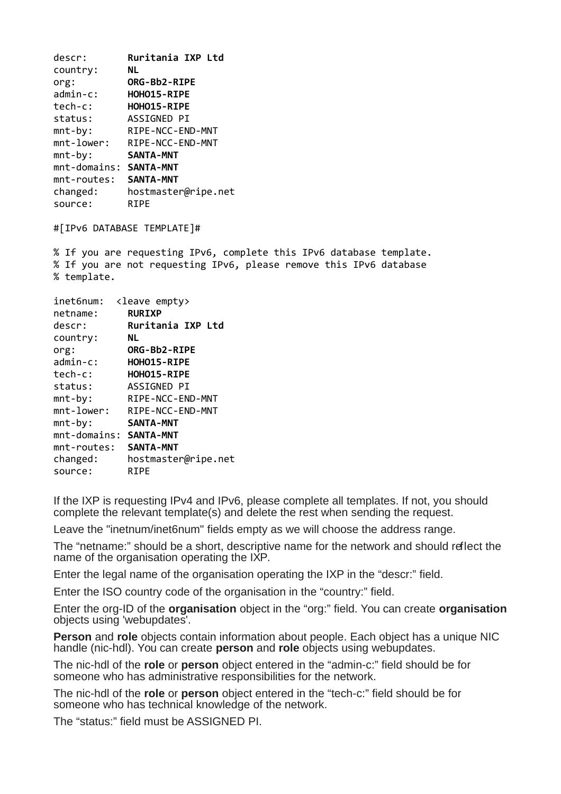| Ruritania IXP Ltd                   |
|-------------------------------------|
| NL                                  |
| ORG-Bb2-RIPE                        |
| HOHO15-RIPE                         |
| HOHO15-RIPE                         |
| ASSIGNED PI                         |
| RIPE-NCC-END-MNT                    |
| RIPE-NCC-END-MNT                    |
| <b>SANTA-MNT</b>                    |
| $mnt$ -domains:<br><b>SANTA-MNT</b> |
| <b>SANTA-MNT</b>                    |
| hostmaster@ripe.net                 |
| RIPE                                |
|                                     |

#[IPv6 DATABASE TEMPLATE]#

% If you are requesting IPv6, complete this IPv6 database template. % If you are not requesting IPv6, please remove this IPv6 database % template.

| inet6num:       | <leave empty=""></leave> |
|-----------------|--------------------------|
| netname:        | <b>RURIXP</b>            |
| descr:          | Ruritania IXP Ltd        |
| country:        | NL                       |
| org:            | ORG-Bb2-RIPE             |
| $admin-c$ :     | HOHO15-RIPE              |
| tech-c:         | HOHO15-RIPE              |
| status:         | ASSIGNED PI              |
| $mnt-by:$       | RIPE-NCC-END-MNT         |
| $mnt$ -lower:   | RIPE-NCC-END-MNT         |
| $mnt-by:$       | <b>SANTA-MNT</b>         |
| $mnt$ -domains: | <b>SANTA-MNT</b>         |
| mnt-routes:     | <b>SANTA-MNT</b>         |
| changed:        | hostmaster@ripe.net      |
| source:         | RIPE                     |
|                 |                          |

If the IXP is requesting IPv4 and IPv6, please complete all templates. If not, you should complete the relevant template(s) and delete the rest when sending the request.

Leave the "inetnum/inet6num" fields empty as we will choose the address range.

The "netname:" should be a short, descriptive name for the network and should reflect the name of the organisation operating the IXP.

Enter the legal name of the organisation operating the IXP in the "descr:" field.

Enter the ISO country code of the organisation in the "country:" field.

Enter the org-ID of the **organisation** object in the "org:" field. You can create **organisation** objects using 'webupdates'.

**Person** and **role** objects contain information about people. Each object has a unique NIC handle (nic-hdl). You can create **person** and **role** objects using webupdates.

The nic-hdl of the **role** or **person** object entered in the "admin-c:" field should be for someone who has administrative responsibilities for the network.

The nic-hdl of the **role** or **person** object entered in the "tech-c:" field should be for someone who has technical knowledge of the network.

The "status:" field must be ASSIGNED PI.